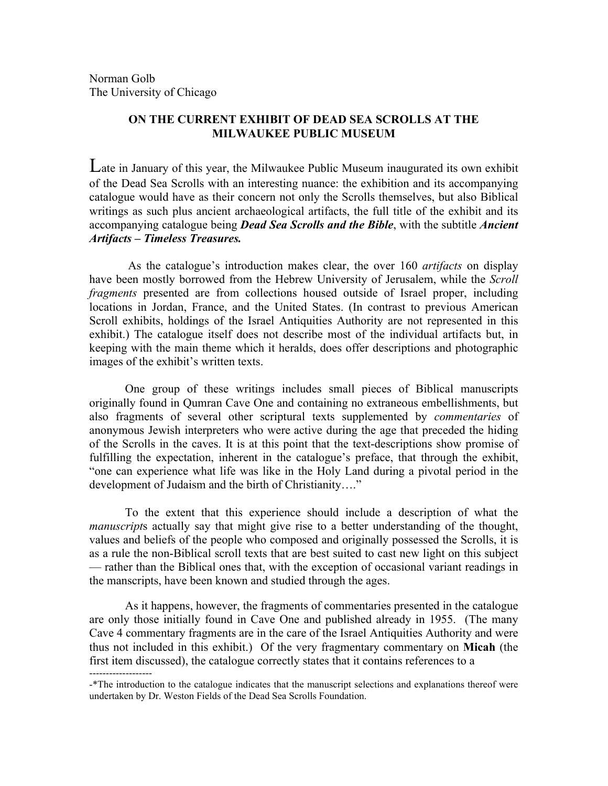Norman Golb The University of Chicago

## **ON THE CURRENT EXHIBIT OF DEAD SEA SCROLLS AT THE MILWAUKEE PUBLIC MUSEUM**

Late in January of this year, the Milwaukee Public Museum inaugurated its own exhibit of the Dead Sea Scrolls with an interesting nuance: the exhibition and its accompanying catalogue would have as their concern not only the Scrolls themselves, but also Biblical writings as such plus ancient archaeological artifacts, the full title of the exhibit and its accompanying catalogue being *Dead Sea Scrolls and the Bible*, with the subtitle *Ancient Artifacts – Timeless Treasures.*

As the catalogue's introduction makes clear, the over 160 *artifacts* on display have been mostly borrowed from the Hebrew University of Jerusalem, while the *Scroll fragments* presented are from collections housed outside of Israel proper, including locations in Jordan, France, and the United States. (In contrast to previous American Scroll exhibits, holdings of the Israel Antiquities Authority are not represented in this exhibit.) The catalogue itself does not describe most of the individual artifacts but, in keeping with the main theme which it heralds, does offer descriptions and photographic images of the exhibit's written texts.

One group of these writings includes small pieces of Biblical manuscripts originally found in Qumran Cave One and containing no extraneous embellishments, but also fragments of several other scriptural texts supplemented by *commentaries* of anonymous Jewish interpreters who were active during the age that preceded the hiding of the Scrolls in the caves. It is at this point that the text-descriptions show promise of fulfilling the expectation, inherent in the catalogue's preface, that through the exhibit, "one can experience what life was like in the Holy Land during a pivotal period in the development of Judaism and the birth of Christianity…."

To the extent that this experience should include a description of what the *manuscript*s actually say that might give rise to a better understanding of the thought, values and beliefs of the people who composed and originally possessed the Scrolls, it is as a rule the non-Biblical scroll texts that are best suited to cast new light on this subject — rather than the Biblical ones that, with the exception of occasional variant readings in the manscripts, have been known and studied through the ages.

As it happens, however, the fragments of commentaries presented in the catalogue are only those initially found in Cave One and published already in 1955. (The many Cave 4 commentary fragments are in the care of the Israel Antiquities Authority and were thus not included in this exhibit.) Of the very fragmentary commentary on **Micah** (the first item discussed), the catalogue correctly states that it contains references to a

<sup>-\*</sup>The introduction to the catalogue indicates that the manuscript selections and explanations thereof were undertaken by Dr. Weston Fields of the Dead Sea Scrolls Foundation.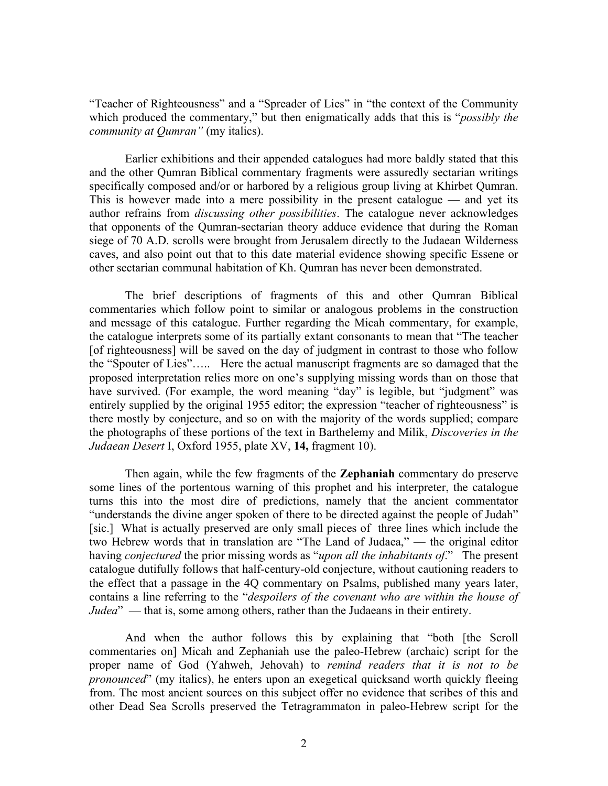"Teacher of Righteousness" and a "Spreader of Lies" in "the context of the Community which produced the commentary," but then enigmatically adds that this is "*possibly the community at Qumran"* (my italics).

Earlier exhibitions and their appended catalogues had more baldly stated that this and the other Qumran Biblical commentary fragments were assuredly sectarian writings specifically composed and/or or harbored by a religious group living at Khirbet Qumran. This is however made into a mere possibility in the present catalogue — and yet its author refrains from *discussing other possibilities*. The catalogue never acknowledges that opponents of the Qumran-sectarian theory adduce evidence that during the Roman siege of 70 A.D. scrolls were brought from Jerusalem directly to the Judaean Wilderness caves, and also point out that to this date material evidence showing specific Essene or other sectarian communal habitation of Kh. Qumran has never been demonstrated.

The brief descriptions of fragments of this and other Qumran Biblical commentaries which follow point to similar or analogous problems in the construction and message of this catalogue. Further regarding the Micah commentary, for example, the catalogue interprets some of its partially extant consonants to mean that "The teacher [of righteousness] will be saved on the day of judgment in contrast to those who follow the "Spouter of Lies"….. Here the actual manuscript fragments are so damaged that the proposed interpretation relies more on one's supplying missing words than on those that have survived. (For example, the word meaning "day" is legible, but "judgment" was entirely supplied by the original 1955 editor; the expression "teacher of righteousness" is there mostly by conjecture, and so on with the majority of the words supplied; compare the photographs of these portions of the text in Barthelemy and Milik, *Discoveries in the Judaean Desert* I, Oxford 1955, plate XV, **14,** fragment 10).

Then again, while the few fragments of the **Zephaniah** commentary do preserve some lines of the portentous warning of this prophet and his interpreter, the catalogue turns this into the most dire of predictions, namely that the ancient commentator "understands the divine anger spoken of there to be directed against the people of Judah" [sic.] What is actually preserved are only small pieces of three lines which include the two Hebrew words that in translation are "The Land of Judaea," — the original editor having *conjectured* the prior missing words as "*upon all the inhabitants of*." The present catalogue dutifully follows that half-century-old conjecture, without cautioning readers to the effect that a passage in the 4Q commentary on Psalms, published many years later, contains a line referring to the "*despoilers of the covenant who are within the house of Judea*" — that is, some among others, rather than the Judaeans in their entirety.

And when the author follows this by explaining that "both [the Scroll commentaries on] Micah and Zephaniah use the paleo-Hebrew (archaic) script for the proper name of God (Yahweh, Jehovah) to *remind readers that it is not to be pronounced*" (my italics), he enters upon an exegetical quicksand worth quickly fleeing from. The most ancient sources on this subject offer no evidence that scribes of this and other Dead Sea Scrolls preserved the Tetragrammaton in paleo-Hebrew script for the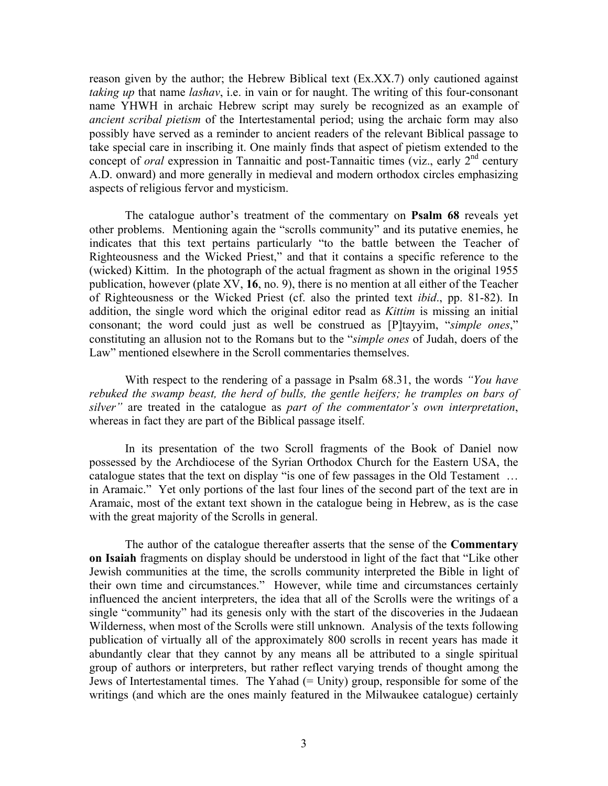reason given by the author; the Hebrew Biblical text (Ex.XX.7) only cautioned against *taking up* that name *lashav*, i.e. in vain or for naught. The writing of this four-consonant name YHWH in archaic Hebrew script may surely be recognized as an example of *ancient scribal pietism* of the Intertestamental period; using the archaic form may also possibly have served as a reminder to ancient readers of the relevant Biblical passage to take special care in inscribing it. One mainly finds that aspect of pietism extended to the concept of *oral* expression in Tannaitic and post-Tannaitic times (viz., early 2<sup>nd</sup> century A.D. onward) and more generally in medieval and modern orthodox circles emphasizing aspects of religious fervor and mysticism.

The catalogue author's treatment of the commentary on **Psalm 68** reveals yet other problems. Mentioning again the "scrolls community" and its putative enemies, he indicates that this text pertains particularly "to the battle between the Teacher of Righteousness and the Wicked Priest," and that it contains a specific reference to the (wicked) Kittim. In the photograph of the actual fragment as shown in the original 1955 publication, however (plate XV, **16**, no. 9), there is no mention at all either of the Teacher of Righteousness or the Wicked Priest (cf. also the printed text *ibid*., pp. 81-82). In addition, the single word which the original editor read as *Kittim* is missing an initial consonant; the word could just as well be construed as [P]tayyim, "*simple ones*," constituting an allusion not to the Romans but to the "*simple ones* of Judah, doers of the Law" mentioned elsewhere in the Scroll commentaries themselves.

With respect to the rendering of a passage in Psalm 68.31, the words *"You have rebuked the swamp beast, the herd of bulls, the gentle heifers; he tramples on bars of silver"* are treated in the catalogue as *part of the commentator's own interpretation*, whereas in fact they are part of the Biblical passage itself.

In its presentation of the two Scroll fragments of the Book of Daniel now possessed by the Archdiocese of the Syrian Orthodox Church for the Eastern USA, the catalogue states that the text on display "is one of few passages in the Old Testament … in Aramaic." Yet only portions of the last four lines of the second part of the text are in Aramaic, most of the extant text shown in the catalogue being in Hebrew, as is the case with the great majority of the Scrolls in general.

The author of the catalogue thereafter asserts that the sense of the **Commentary on Isaiah** fragments on display should be understood in light of the fact that "Like other Jewish communities at the time, the scrolls community interpreted the Bible in light of their own time and circumstances." However, while time and circumstances certainly influenced the ancient interpreters, the idea that all of the Scrolls were the writings of a single "community" had its genesis only with the start of the discoveries in the Judaean Wilderness, when most of the Scrolls were still unknown. Analysis of the texts following publication of virtually all of the approximately 800 scrolls in recent years has made it abundantly clear that they cannot by any means all be attributed to a single spiritual group of authors or interpreters, but rather reflect varying trends of thought among the Jews of Intertestamental times. The Yahad (= Unity) group, responsible for some of the writings (and which are the ones mainly featured in the Milwaukee catalogue) certainly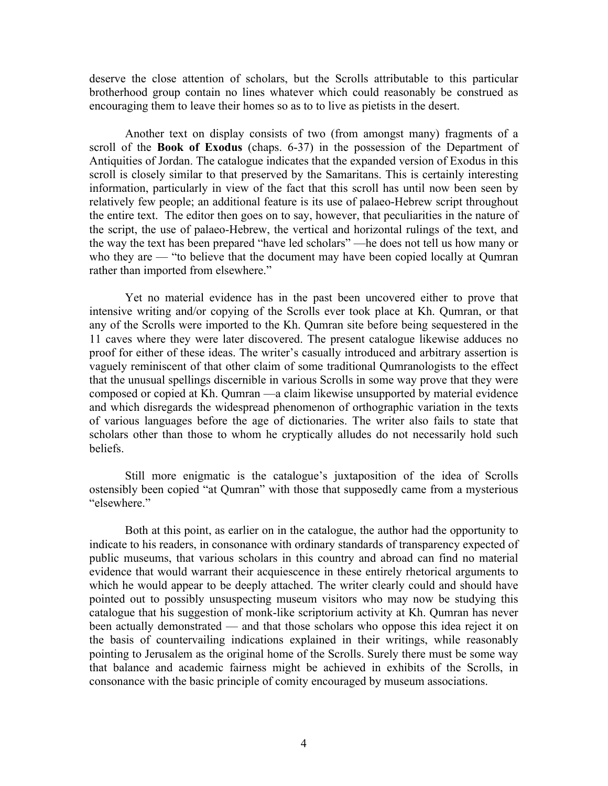deserve the close attention of scholars, but the Scrolls attributable to this particular brotherhood group contain no lines whatever which could reasonably be construed as encouraging them to leave their homes so as to to live as pietists in the desert.

Another text on display consists of two (from amongst many) fragments of a scroll of the **Book of Exodus** (chaps. 6-37) in the possession of the Department of Antiquities of Jordan. The catalogue indicates that the expanded version of Exodus in this scroll is closely similar to that preserved by the Samaritans. This is certainly interesting information, particularly in view of the fact that this scroll has until now been seen by relatively few people; an additional feature is its use of palaeo-Hebrew script throughout the entire text. The editor then goes on to say, however, that peculiarities in the nature of the script, the use of palaeo-Hebrew, the vertical and horizontal rulings of the text, and the way the text has been prepared "have led scholars" —he does not tell us how many or who they are — "to believe that the document may have been copied locally at Qumran rather than imported from elsewhere."

Yet no material evidence has in the past been uncovered either to prove that intensive writing and/or copying of the Scrolls ever took place at Kh. Qumran, or that any of the Scrolls were imported to the Kh. Qumran site before being sequestered in the 11 caves where they were later discovered. The present catalogue likewise adduces no proof for either of these ideas. The writer's casually introduced and arbitrary assertion is vaguely reminiscent of that other claim of some traditional Qumranologists to the effect that the unusual spellings discernible in various Scrolls in some way prove that they were composed or copied at Kh. Qumran —a claim likewise unsupported by material evidence and which disregards the widespread phenomenon of orthographic variation in the texts of various languages before the age of dictionaries. The writer also fails to state that scholars other than those to whom he cryptically alludes do not necessarily hold such beliefs.

Still more enigmatic is the catalogue's juxtaposition of the idea of Scrolls ostensibly been copied "at Qumran" with those that supposedly came from a mysterious "elsewhere."

Both at this point, as earlier on in the catalogue, the author had the opportunity to indicate to his readers, in consonance with ordinary standards of transparency expected of public museums, that various scholars in this country and abroad can find no material evidence that would warrant their acquiescence in these entirely rhetorical arguments to which he would appear to be deeply attached. The writer clearly could and should have pointed out to possibly unsuspecting museum visitors who may now be studying this catalogue that his suggestion of monk-like scriptorium activity at Kh. Qumran has never been actually demonstrated — and that those scholars who oppose this idea reject it on the basis of countervailing indications explained in their writings, while reasonably pointing to Jerusalem as the original home of the Scrolls. Surely there must be some way that balance and academic fairness might be achieved in exhibits of the Scrolls, in consonance with the basic principle of comity encouraged by museum associations.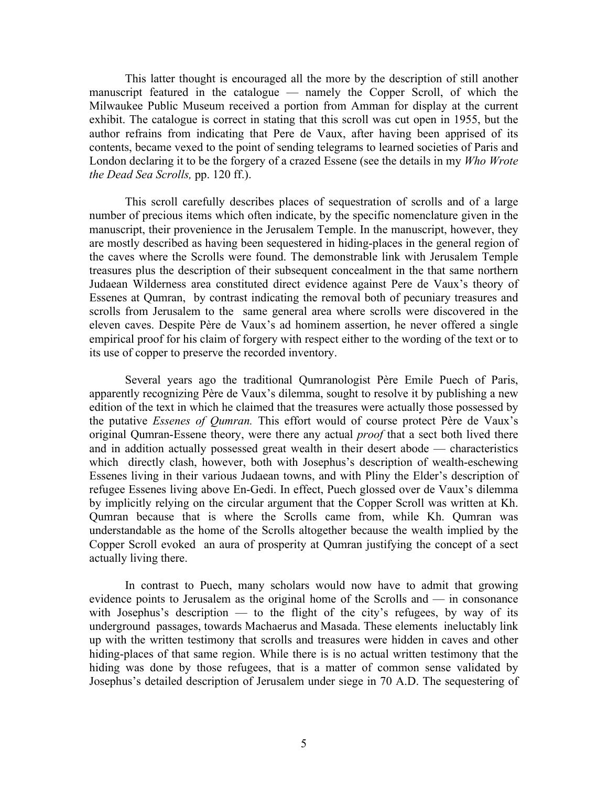This latter thought is encouraged all the more by the description of still another manuscript featured in the catalogue — namely the Copper Scroll, of which the Milwaukee Public Museum received a portion from Amman for display at the current exhibit. The catalogue is correct in stating that this scroll was cut open in 1955, but the author refrains from indicating that Pere de Vaux, after having been apprised of its contents, became vexed to the point of sending telegrams to learned societies of Paris and London declaring it to be the forgery of a crazed Essene (see the details in my *Who Wrote the Dead Sea Scrolls,* pp. 120 ff.).

This scroll carefully describes places of sequestration of scrolls and of a large number of precious items which often indicate, by the specific nomenclature given in the manuscript, their provenience in the Jerusalem Temple. In the manuscript, however, they are mostly described as having been sequestered in hiding-places in the general region of the caves where the Scrolls were found. The demonstrable link with Jerusalem Temple treasures plus the description of their subsequent concealment in the that same northern Judaean Wilderness area constituted direct evidence against Pere de Vaux's theory of Essenes at Qumran, by contrast indicating the removal both of pecuniary treasures and scrolls from Jerusalem to the same general area where scrolls were discovered in the eleven caves. Despite Père de Vaux's ad hominem assertion, he never offered a single empirical proof for his claim of forgery with respect either to the wording of the text or to its use of copper to preserve the recorded inventory.

Several years ago the traditional Qumranologist Père Emile Puech of Paris, apparently recognizing Père de Vaux's dilemma, sought to resolve it by publishing a new edition of the text in which he claimed that the treasures were actually those possessed by the putative *Essenes of Qumran.* This effort would of course protect Père de Vaux's original Qumran-Essene theory, were there any actual *proof* that a sect both lived there and in addition actually possessed great wealth in their desert abode — characteristics which directly clash, however, both with Josephus's description of wealth-eschewing Essenes living in their various Judaean towns, and with Pliny the Elder's description of refugee Essenes living above En-Gedi. In effect, Puech glossed over de Vaux's dilemma by implicitly relying on the circular argument that the Copper Scroll was written at Kh. Qumran because that is where the Scrolls came from, while Kh. Qumran was understandable as the home of the Scrolls altogether because the wealth implied by the Copper Scroll evoked an aura of prosperity at Qumran justifying the concept of a sect actually living there.

In contrast to Puech, many scholars would now have to admit that growing evidence points to Jerusalem as the original home of the Scrolls and — in consonance with Josephus's description — to the flight of the city's refugees, by way of its underground passages, towards Machaerus and Masada. These elements ineluctably link up with the written testimony that scrolls and treasures were hidden in caves and other hiding-places of that same region. While there is is no actual written testimony that the hiding was done by those refugees, that is a matter of common sense validated by Josephus's detailed description of Jerusalem under siege in 70 A.D. The sequestering of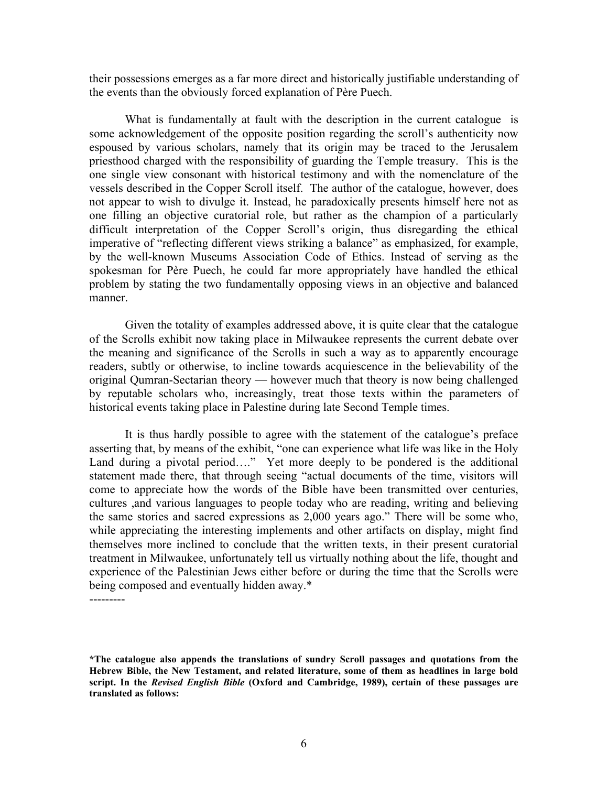their possessions emerges as a far more direct and historically justifiable understanding of the events than the obviously forced explanation of Père Puech.

What is fundamentally at fault with the description in the current catalogue is some acknowledgement of the opposite position regarding the scroll's authenticity now espoused by various scholars, namely that its origin may be traced to the Jerusalem priesthood charged with the responsibility of guarding the Temple treasury. This is the one single view consonant with historical testimony and with the nomenclature of the vessels described in the Copper Scroll itself. The author of the catalogue, however, does not appear to wish to divulge it. Instead, he paradoxically presents himself here not as one filling an objective curatorial role, but rather as the champion of a particularly difficult interpretation of the Copper Scroll's origin, thus disregarding the ethical imperative of "reflecting different views striking a balance" as emphasized, for example, by the well-known Museums Association Code of Ethics. Instead of serving as the spokesman for Père Puech, he could far more appropriately have handled the ethical problem by stating the two fundamentally opposing views in an objective and balanced manner.

Given the totality of examples addressed above, it is quite clear that the catalogue of the Scrolls exhibit now taking place in Milwaukee represents the current debate over the meaning and significance of the Scrolls in such a way as to apparently encourage readers, subtly or otherwise, to incline towards acquiescence in the believability of the original Qumran-Sectarian theory — however much that theory is now being challenged by reputable scholars who, increasingly, treat those texts within the parameters of historical events taking place in Palestine during late Second Temple times.

It is thus hardly possible to agree with the statement of the catalogue's preface asserting that, by means of the exhibit, "one can experience what life was like in the Holy Land during a pivotal period...." Yet more deeply to be pondered is the additional statement made there, that through seeing "actual documents of the time, visitors will come to appreciate how the words of the Bible have been transmitted over centuries, cultures ,and various languages to people today who are reading, writing and believing the same stories and sacred expressions as 2,000 years ago." There will be some who, while appreciating the interesting implements and other artifacts on display, might find themselves more inclined to conclude that the written texts, in their present curatorial treatment in Milwaukee, unfortunately tell us virtually nothing about the life, thought and experience of the Palestinian Jews either before or during the time that the Scrolls were being composed and eventually hidden away.\*

---------

**<sup>\*</sup>The catalogue also appends the translations of sundry Scroll passages and quotations from the Hebrew Bible, the New Testament, and related literature, some of them as headlines in large bold script. In the** *Revised English Bible* **(Oxford and Cambridge, 1989), certain of these passages are translated as follows:**